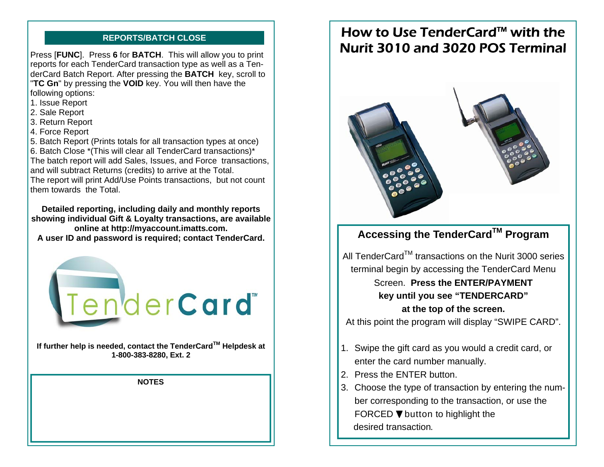Press [**FUNC**]. Press **6** for **BATCH**. This will allow you to print reports for each TenderCard transaction type as well as a TenderCard Batch Report. After pressing the **BATCH** key, scroll to "**TC Gn**" by pressing the **VOID** key. You will then have the following options:

- 1. Issue Report
- 2. Sale Report
- 3. Return Report
- 4. Force Report

5. Batch Report (Prints totals for all transaction types at once) 6. Batch Close \*(This will clear all TenderCard transactions)\* The batch report will add Sales, Issues, and Force transactions, and will subtract Returns (credits) to arrive at the Total. The report will print Add/Use Points transactions, but not count them towards the Total.

**Detailed reporting, including daily and monthly reports showing individual Gift & Loyalty transactions, are available online at http://myaccount.imatts.com. A user ID and password is required; contact TenderCard.** 



**If further help is needed, contact the TenderCardTM Helpdesk at 1-800-383-8280, Ext. 2** 

**NOTES** 

# **REPORTS/BATCH CLOSE How to Use TenderCard™ with the** Nurit 3010 and 3020 POS Terminal



# **Accessing the TenderCardTM Program**

All TenderCard™ transactions on the Nurit 3000 series terminal begin by accessing the TenderCard Menu

# Screen. **Press the ENTER/PAYMENT key until you see "TENDERCARD" at the top of the screen.**

At this point the program will display "SWIPE CARD".

- 1. Swipe the gift card as you would a credit card, or enter the card number manually.
- 2. Press the ENTER button.
- 3. Choose the type of transaction by entering the number corresponding to the transaction, or use the FORCED  $\nabla$  button to highlight the desired transaction.